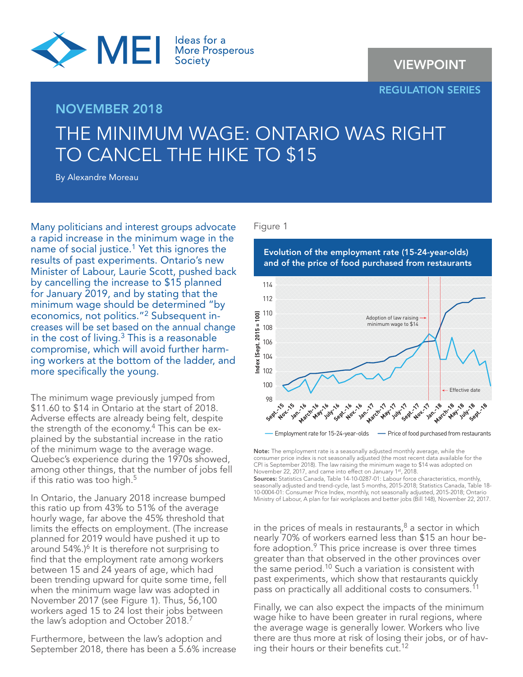

## REGULATION SERIES

# NOVEMBER 2018 THE MINIMUM WAGE: ONTARIO WAS RIGHT TO CANCEL THE HIKE TO \$15

By Alexandre Moreau

Many politicians and interest groups advocate a rapid increase in the minimum wage in the name of social justice.<sup>1</sup> Yet this ignores the results of past experiments. Ontario's new Minister of Labour, Laurie Scott, pushed back by cancelling the increase to \$15 planned for January 2019, and by stating that the minimum wage should be determined "by economics, not politics."2 Subsequent increases will be set based on the annual change in the cost of living.3 This is a reasonable compromise, which will avoid further harming workers at the bottom of the ladder, and more specifically the young.

The minimum wage previously jumped from \$11.60 to \$14 in Ontario at the start of 2018. Adverse effects are already being felt, despite the strength of the economy.<sup>4</sup> This can be explained by the substantial increase in the ratio of the minimum wage to the average wage. Quebec's experience during the 1970s showed, among other things, that the number of jobs fell if this ratio was too high.<sup>5</sup>

In Ontario, the January 2018 increase bumped this ratio up from 43% to 51% of the average hourly wage, far above the 45% threshold that limits the effects on employment. (The increase planned for 2019 would have pushed it up to around 54%.)<sup>6</sup> It is therefore not surprising to find that the employment rate among workers between 15 and 24 years of age, which had been trending upward for quite some time, fell when the minimum wage law was adopted in November 2017 (see Figure 1). Thus, 56,100 workers aged 15 to 24 lost their jobs between the law's adoption and October 2018.<sup>7</sup>

Furthermore, between the law's adoption and September 2018, there has been a 5.6% increase

### Figure 1



Note: The employment rate is a seasonally adjusted monthly average, while the consumer price index is not seasonally adjusted (the most recent data available for the CPI is September 2018). The law raising the minimum wage to \$14 was adopted on November 22, 2017, and came into effect on January 1st, 2018.

Sources: Statistics Canada, Table 14-10-0287-01: Labour force characteristics, monthly, seasonally adjusted and trend-cycle, last 5 months, 2015-2018; Statistics Canada, Table 18- 10-0004-01: Consumer Price Index, monthly, not seasonally adjusted, 2015-2018; Ontario Ministry of Labour, A plan for fair workplaces and better jobs (Bill 148), November 22, 2017.

in the prices of meals in restaurants, $8$  a sector in which nearly 70% of workers earned less than \$15 an hour before adoption.9 This price increase is over three times greater than that observed in the other provinces over the same period.<sup>10</sup> Such a variation is consistent with past experiments, which show that restaurants quickly pass on practically all additional costs to consumers.<sup>11</sup>

Finally, we can also expect the impacts of the minimum wage hike to have been greater in rural regions, where the average wage is generally lower. Workers who live there are thus more at risk of losing their jobs, or of having their hours or their benefits cut.<sup>12</sup>